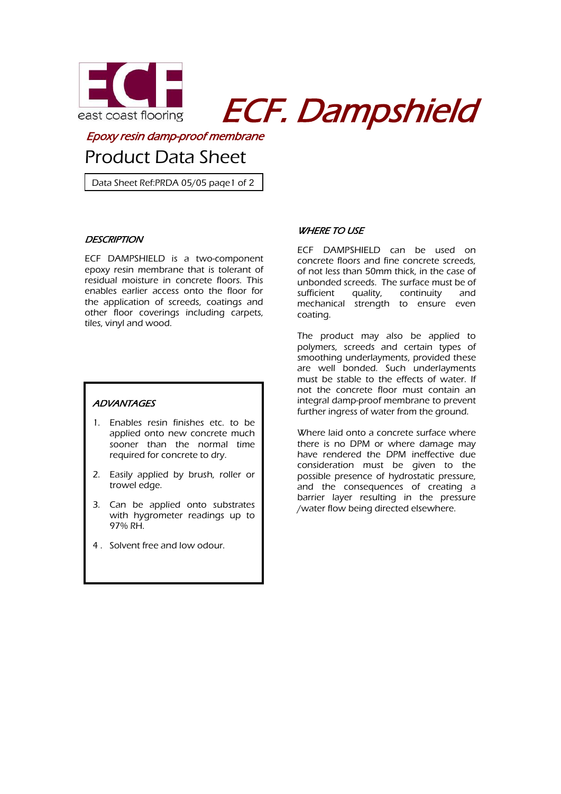

east coast flooring **ECF. Dampshield** 

Epoxy resin damp-proof membrane

# Product Data Sheet

Data Sheet Ref:PRDA 05/05 page1 of 2

# **DESCRIPTION**

of 2

ECF DAMPSHIELD is a two-component epoxy resin membrane that is tolerant of residual moisture in concrete floors. This enables earlier access onto the floor for the application of screeds, coatings and other floor coverings including carpets, tiles, vinyl and wood.

# **ADVANTAGES**

. .

- 1. Enables resin finishes etc. to be applied onto new concrete much sooner than the normal time required for concrete to dry.
- 2. Easily applied by brush, roller or trowel edge.
- 3. Can be applied onto substrates with hygrometer readings up to 97% RH.
- 4 . Solvent free and low odour.

# **WHERE TO USE**

ECF DAMPSHIELD can be used on concrete floors and fine concrete screeds, of not less than 50mm thick, in the case of unbonded screeds. The surface must be of sufficient quality, continuity and mechanical strength to ensure even coating.

The product may also be applied to polymers, screeds and certain types of smoothing underlayments, provided these are well bonded. Such underlayments must be stable to the effects of water. If not the concrete floor must contain an integral damp-proof membrane to prevent further ingress of water from the ground.

Where laid onto a concrete surface where there is no DPM or where damage may have rendered the DPM ineffective due consideration must be given to the possible presence of hydrostatic pressure, and the consequences of creating a barrier layer resulting in the pressure /water flow being directed elsewhere.